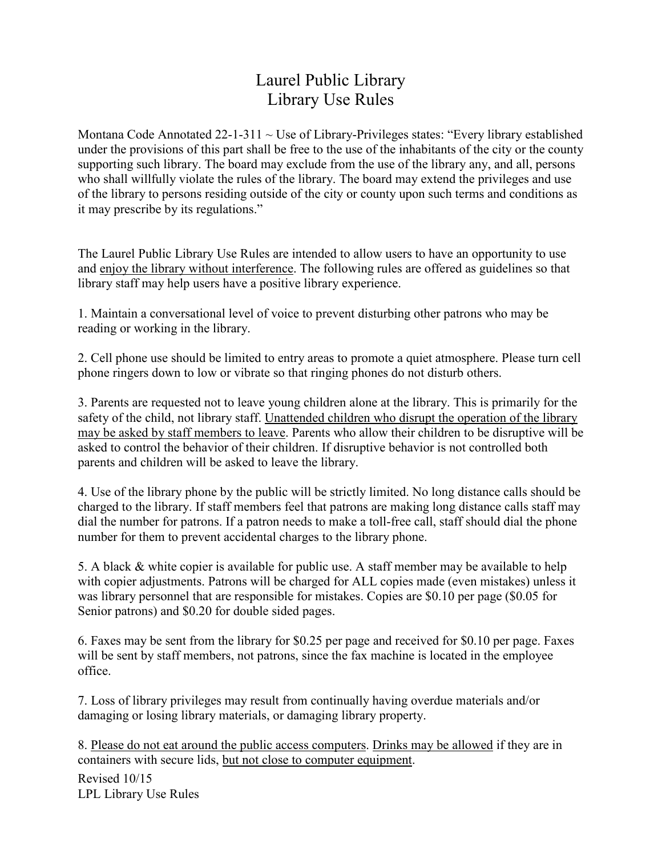## Laurel Public Library Library Use Rules

Montana Code Annotated  $22$ -1-311  $\sim$  Use of Library-Privileges states: "Every library established under the provisions of this part shall be free to the use of the inhabitants of the city or the county supporting such library. The board may exclude from the use of the library any, and all, persons who shall willfully violate the rules of the library. The board may extend the privileges and use of the library to persons residing outside of the city or county upon such terms and conditions as it may prescribe by its regulations."

The Laurel Public Library Use Rules are intended to allow users to have an opportunity to use and enjoy the library without interference. The following rules are offered as guidelines so that library staff may help users have a positive library experience.

1. Maintain a conversational level of voice to prevent disturbing other patrons who may be reading or working in the library.

2. Cell phone use should be limited to entry areas to promote a quiet atmosphere. Please turn cell phone ringers down to low or vibrate so that ringing phones do not disturb others.

3. Parents are requested not to leave young children alone at the library. This is primarily for the safety of the child, not library staff. Unattended children who disrupt the operation of the library may be asked by staff members to leave. Parents who allow their children to be disruptive will be asked to control the behavior of their children. If disruptive behavior is not controlled both parents and children will be asked to leave the library.

4. Use of the library phone by the public will be strictly limited. No long distance calls should be charged to the library. If staff members feel that patrons are making long distance calls staff may dial the number for patrons. If a patron needs to make a toll-free call, staff should dial the phone number for them to prevent accidental charges to the library phone.

5. A black & white copier is available for public use. A staff member may be available to help with copier adjustments. Patrons will be charged for ALL copies made (even mistakes) unless it was library personnel that are responsible for mistakes. Copies are \$0.10 per page (\$0.05 for Senior patrons) and \$0.20 for double sided pages.

6. Faxes may be sent from the library for \$0.25 per page and received for \$0.10 per page. Faxes will be sent by staff members, not patrons, since the fax machine is located in the employee office.

7. Loss of library privileges may result from continually having overdue materials and/or damaging or losing library materials, or damaging library property.

8. Please do not eat around the public access computers. Drinks may be allowed if they are in containers with secure lids, but not close to computer equipment.

Revised 10/15 LPL Library Use Rules